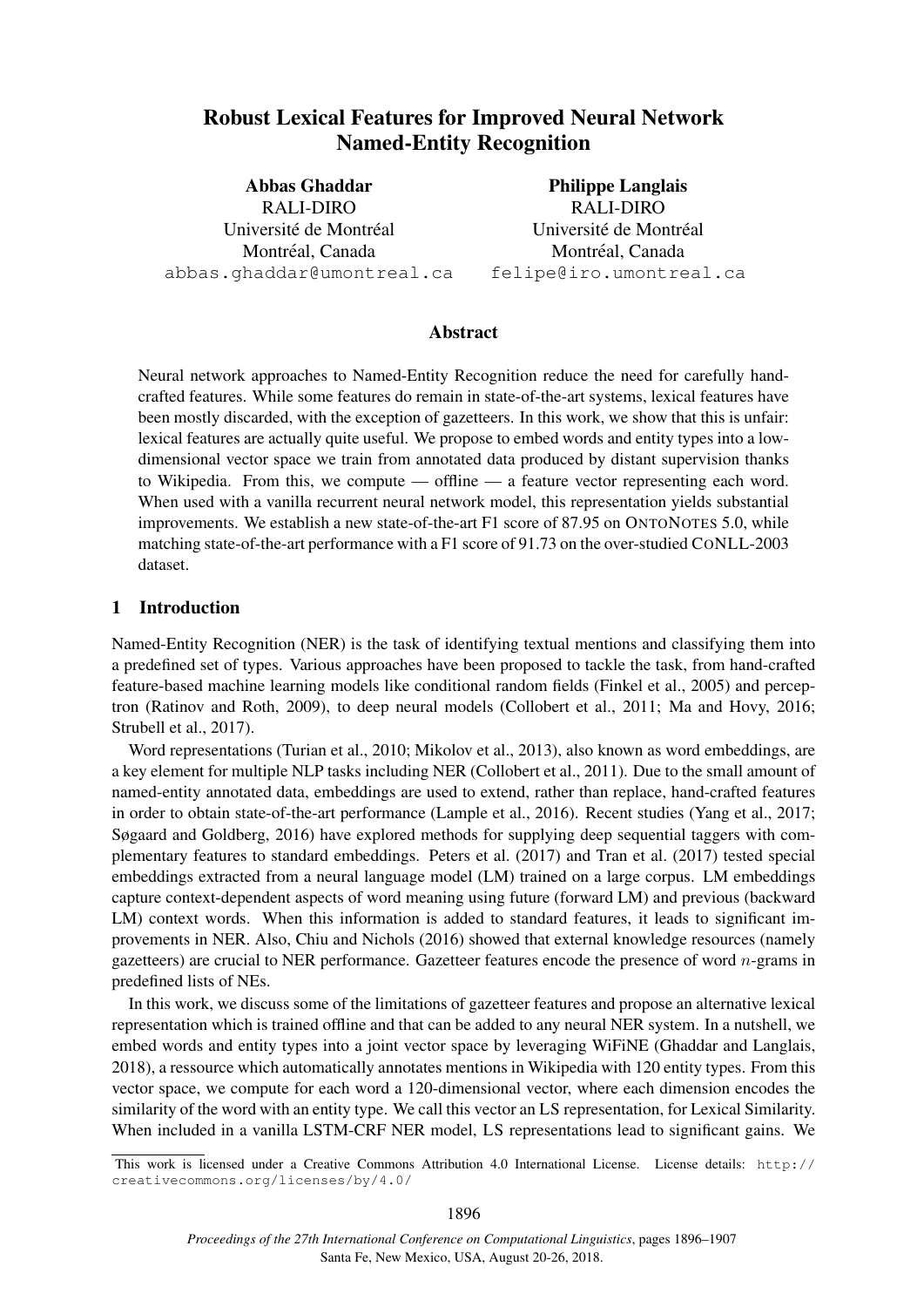# Robust Lexical Features for Improved Neural Network Named-Entity Recognition

Abbas Ghaddar RALI-DIRO Université de Montréal Montréal, Canada abbas.ghaddar@umontreal.ca

Philippe Langlais RALI-DIRO Université de Montréal Montréal, Canada felipe@iro.umontreal.ca

### Abstract

Neural network approaches to Named-Entity Recognition reduce the need for carefully handcrafted features. While some features do remain in state-of-the-art systems, lexical features have been mostly discarded, with the exception of gazetteers. In this work, we show that this is unfair: lexical features are actually quite useful. We propose to embed words and entity types into a lowdimensional vector space we train from annotated data produced by distant supervision thanks to Wikipedia. From this, we compute — offline — a feature vector representing each word. When used with a vanilla recurrent neural network model, this representation yields substantial improvements. We establish a new state-of-the-art F1 score of 87.95 on ONTONOTES 5.0, while matching state-of-the-art performance with a F1 score of 91.73 on the over-studied CONLL-2003 dataset.

### 1 Introduction

Named-Entity Recognition (NER) is the task of identifying textual mentions and classifying them into a predefined set of types. Various approaches have been proposed to tackle the task, from hand-crafted feature-based machine learning models like conditional random fields (Finkel et al., 2005) and perceptron (Ratinov and Roth, 2009), to deep neural models (Collobert et al., 2011; Ma and Hovy, 2016; Strubell et al., 2017).

Word representations (Turian et al., 2010; Mikolov et al., 2013), also known as word embeddings, are a key element for multiple NLP tasks including NER (Collobert et al., 2011). Due to the small amount of named-entity annotated data, embeddings are used to extend, rather than replace, hand-crafted features in order to obtain state-of-the-art performance (Lample et al., 2016). Recent studies (Yang et al., 2017; Søgaard and Goldberg, 2016) have explored methods for supplying deep sequential taggers with complementary features to standard embeddings. Peters et al. (2017) and Tran et al. (2017) tested special embeddings extracted from a neural language model (LM) trained on a large corpus. LM embeddings capture context-dependent aspects of word meaning using future (forward LM) and previous (backward LM) context words. When this information is added to standard features, it leads to significant improvements in NER. Also, Chiu and Nichols (2016) showed that external knowledge resources (namely gazetteers) are crucial to NER performance. Gazetteer features encode the presence of word  $n$ -grams in predefined lists of NEs.

In this work, we discuss some of the limitations of gazetteer features and propose an alternative lexical representation which is trained offline and that can be added to any neural NER system. In a nutshell, we embed words and entity types into a joint vector space by leveraging WiFiNE (Ghaddar and Langlais, 2018), a ressource which automatically annotates mentions in Wikipedia with 120 entity types. From this vector space, we compute for each word a 120-dimensional vector, where each dimension encodes the similarity of the word with an entity type. We call this vector an LS representation, for Lexical Similarity. When included in a vanilla LSTM-CRF NER model, LS representations lead to significant gains. We

This work is licensed under a Creative Commons Attribution 4.0 International License. License details: http:// creativecommons.org/licenses/by/4.0/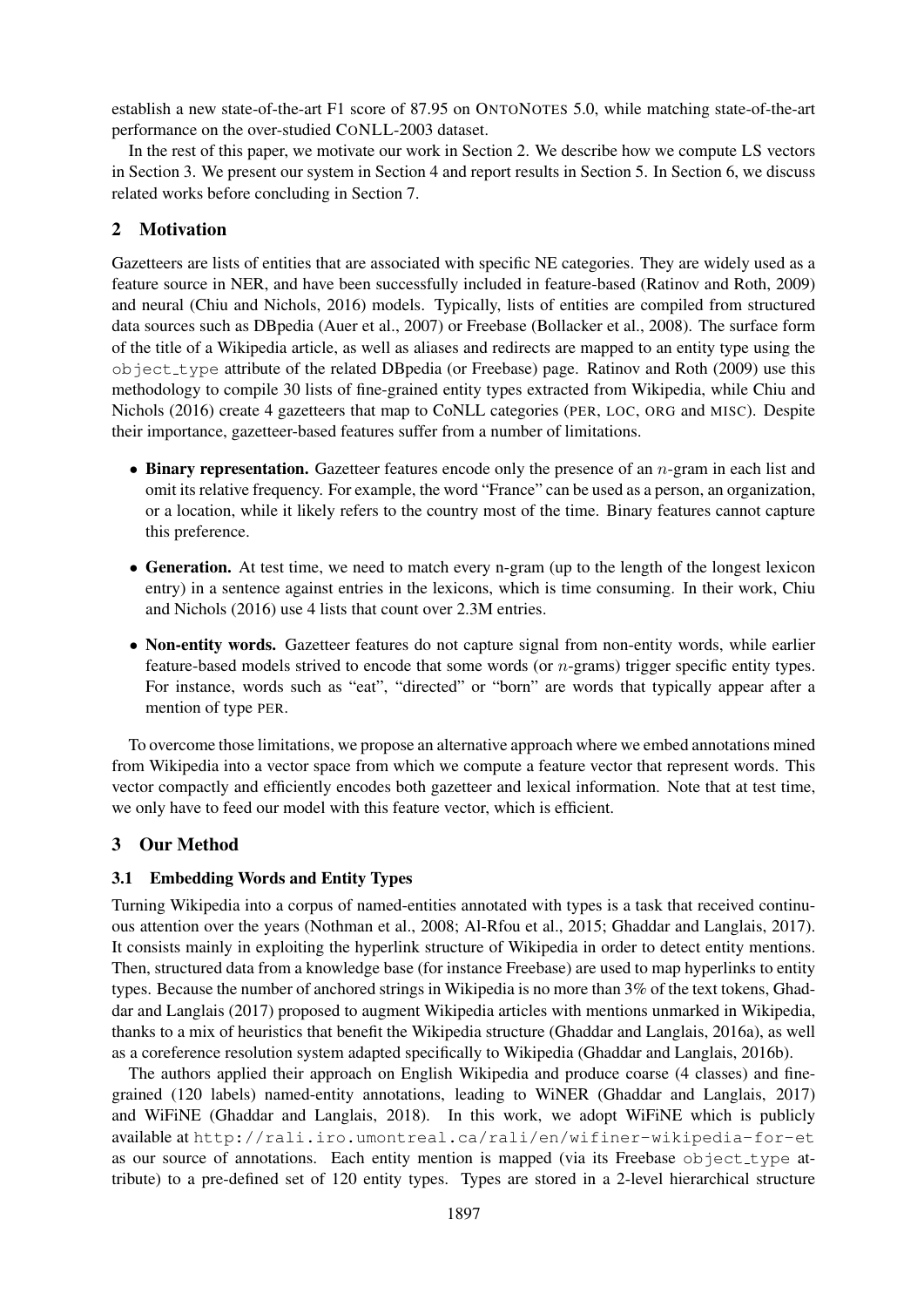establish a new state-of-the-art F1 score of 87.95 on ONTONOTES 5.0, while matching state-of-the-art performance on the over-studied CONLL-2003 dataset.

In the rest of this paper, we motivate our work in Section 2. We describe how we compute LS vectors in Section 3. We present our system in Section 4 and report results in Section 5. In Section 6, we discuss related works before concluding in Section 7.

## 2 Motivation

Gazetteers are lists of entities that are associated with specific NE categories. They are widely used as a feature source in NER, and have been successfully included in feature-based (Ratinov and Roth, 2009) and neural (Chiu and Nichols, 2016) models. Typically, lists of entities are compiled from structured data sources such as DBpedia (Auer et al., 2007) or Freebase (Bollacker et al., 2008). The surface form of the title of a Wikipedia article, as well as aliases and redirects are mapped to an entity type using the object type attribute of the related DBpedia (or Freebase) page. Ratinov and Roth (2009) use this methodology to compile 30 lists of fine-grained entity types extracted from Wikipedia, while Chiu and Nichols (2016) create 4 gazetteers that map to CoNLL categories (PER, LOC, ORG and MISC). Despite their importance, gazetteer-based features suffer from a number of limitations.

- Binary representation. Gazetteer features encode only the presence of an  $n$ -gram in each list and omit its relative frequency. For example, the word "France" can be used as a person, an organization, or a location, while it likely refers to the country most of the time. Binary features cannot capture this preference.
- Generation. At test time, we need to match every n-gram (up to the length of the longest lexicon entry) in a sentence against entries in the lexicons, which is time consuming. In their work, Chiu and Nichols (2016) use 4 lists that count over 2.3M entries.
- Non-entity words. Gazetteer features do not capture signal from non-entity words, while earlier feature-based models strived to encode that some words (or n-grams) trigger specific entity types. For instance, words such as "eat", "directed" or "born" are words that typically appear after a mention of type PER.

To overcome those limitations, we propose an alternative approach where we embed annotations mined from Wikipedia into a vector space from which we compute a feature vector that represent words. This vector compactly and efficiently encodes both gazetteer and lexical information. Note that at test time, we only have to feed our model with this feature vector, which is efficient.

### 3 Our Method

### 3.1 Embedding Words and Entity Types

Turning Wikipedia into a corpus of named-entities annotated with types is a task that received continuous attention over the years (Nothman et al., 2008; Al-Rfou et al., 2015; Ghaddar and Langlais, 2017). It consists mainly in exploiting the hyperlink structure of Wikipedia in order to detect entity mentions. Then, structured data from a knowledge base (for instance Freebase) are used to map hyperlinks to entity types. Because the number of anchored strings in Wikipedia is no more than 3% of the text tokens, Ghaddar and Langlais (2017) proposed to augment Wikipedia articles with mentions unmarked in Wikipedia, thanks to a mix of heuristics that benefit the Wikipedia structure (Ghaddar and Langlais, 2016a), as well as a coreference resolution system adapted specifically to Wikipedia (Ghaddar and Langlais, 2016b).

The authors applied their approach on English Wikipedia and produce coarse (4 classes) and finegrained (120 labels) named-entity annotations, leading to WiNER (Ghaddar and Langlais, 2017) and WiFiNE (Ghaddar and Langlais, 2018). In this work, we adopt WiFiNE which is publicly available at http://rali.iro.umontreal.ca/rali/en/wifiner-wikipedia-for-et as our source of annotations. Each entity mention is mapped (via its Freebase  $\circ$ bject\_type attribute) to a pre-defined set of 120 entity types. Types are stored in a 2-level hierarchical structure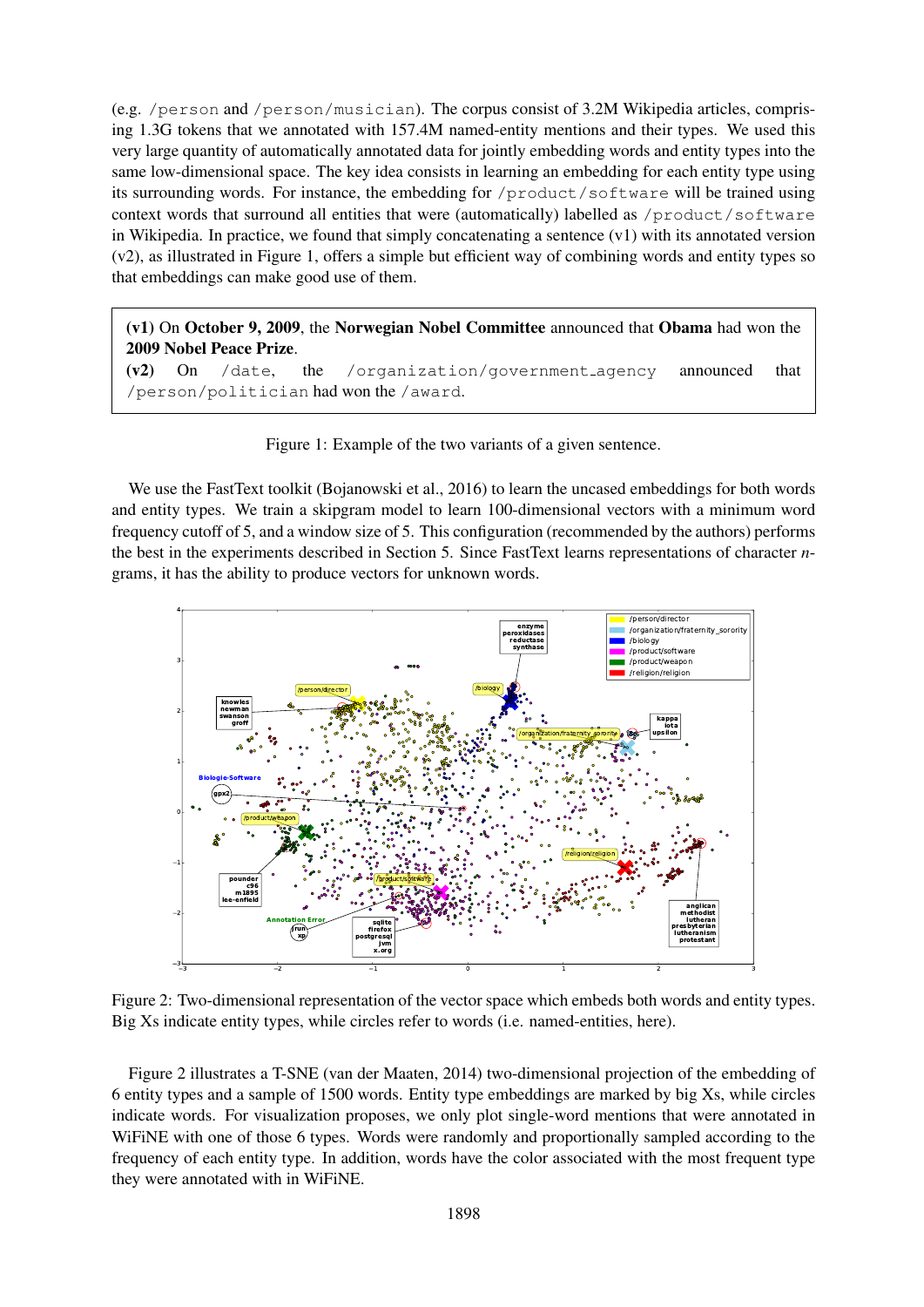(e.g. /person and /person/musician). The corpus consist of 3.2M Wikipedia articles, comprising 1.3G tokens that we annotated with 157.4M named-entity mentions and their types. We used this very large quantity of automatically annotated data for jointly embedding words and entity types into the same low-dimensional space. The key idea consists in learning an embedding for each entity type using its surrounding words. For instance, the embedding for /product/software will be trained using context words that surround all entities that were (automatically) labelled as /product/software in Wikipedia. In practice, we found that simply concatenating a sentence (v1) with its annotated version (v2), as illustrated in Figure 1, offers a simple but efficient way of combining words and entity types so that embeddings can make good use of them.

(v1) On October 9, 2009, the Norwegian Nobel Committee announced that Obama had won the 2009 Nobel Peace Prize.

(v2) On /date, the /organization/government agency announced that /person/politician had won the /award.

Figure 1: Example of the two variants of a given sentence.

We use the FastText toolkit (Bojanowski et al., 2016) to learn the uncased embeddings for both words and entity types. We train a skipgram model to learn 100-dimensional vectors with a minimum word frequency cutoff of 5, and a window size of 5. This configuration (recommended by the authors) performs the best in the experiments described in Section 5. Since FastText learns representations of character *n*grams, it has the ability to produce vectors for unknown words.



Figure 2: Two-dimensional representation of the vector space which embeds both words and entity types. Big Xs indicate entity types, while circles refer to words (i.e. named-entities, here).

Figure 2 illustrates a T-SNE (van der Maaten, 2014) two-dimensional projection of the embedding of 6 entity types and a sample of 1500 words. Entity type embeddings are marked by big Xs, while circles indicate words. For visualization proposes, we only plot single-word mentions that were annotated in WiFiNE with one of those 6 types. Words were randomly and proportionally sampled according to the frequency of each entity type. In addition, words have the color associated with the most frequent type they were annotated with in WiFiNE.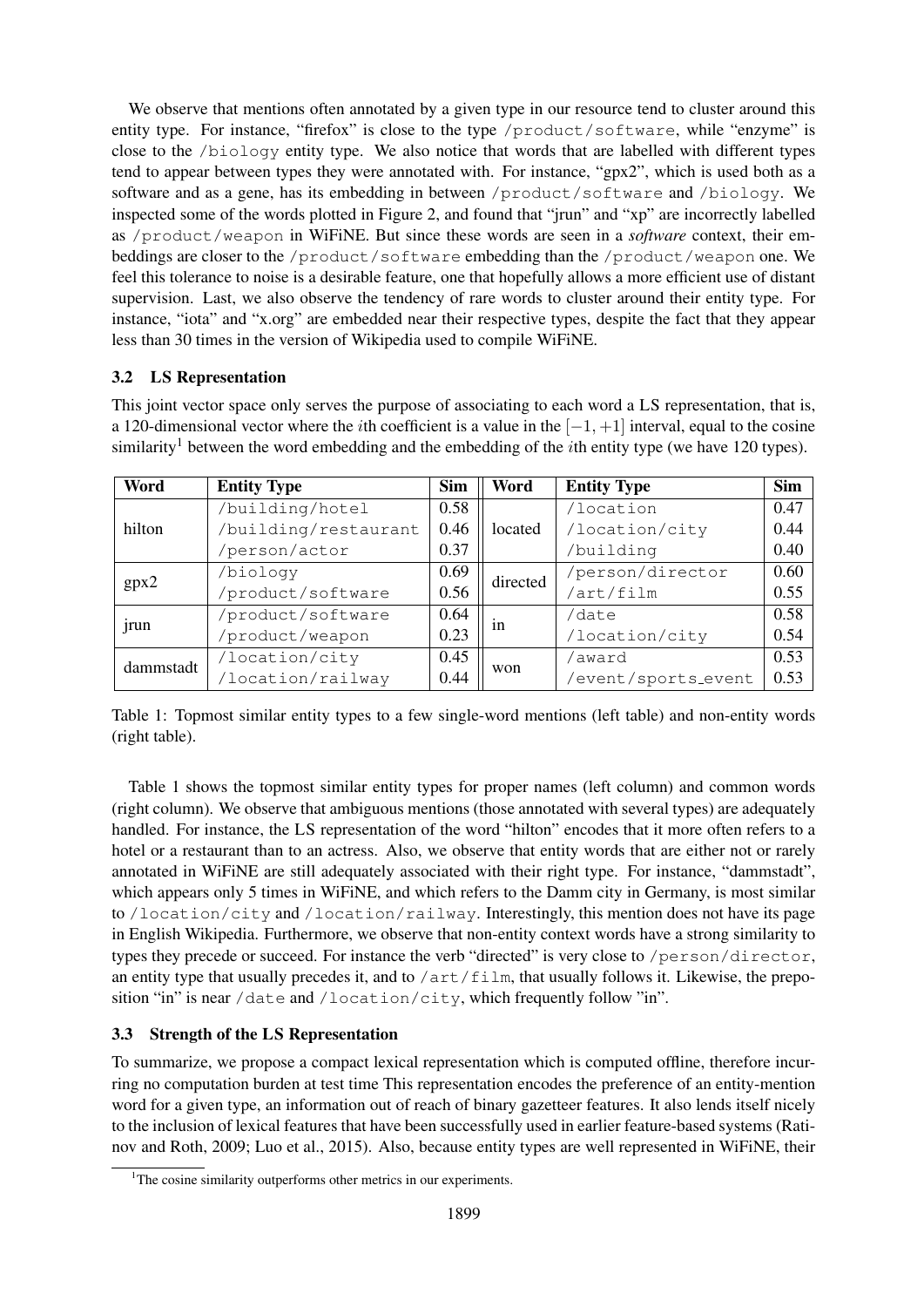We observe that mentions often annotated by a given type in our resource tend to cluster around this entity type. For instance, "firefox" is close to the type /product/software, while "enzyme" is close to the /biology entity type. We also notice that words that are labelled with different types tend to appear between types they were annotated with. For instance, "gpx2", which is used both as a software and as a gene, has its embedding in between /product/software and /biology. We inspected some of the words plotted in Figure 2, and found that "jrun" and "xp" are incorrectly labelled as /product/weapon in WiFiNE. But since these words are seen in a *software* context, their embeddings are closer to the /product/software embedding than the /product/weapon one. We feel this tolerance to noise is a desirable feature, one that hopefully allows a more efficient use of distant supervision. Last, we also observe the tendency of rare words to cluster around their entity type. For instance, "iota" and "x.org" are embedded near their respective types, despite the fact that they appear less than 30 times in the version of Wikipedia used to compile WiFiNE.

## 3.2 LS Representation

This joint vector space only serves the purpose of associating to each word a LS representation, that is, a 120-dimensional vector where the *i*th coefficient is a value in the  $[-1, +1]$  interval, equal to the cosine similarity<sup>1</sup> between the word embedding and the embedding of the *i*th entity type (we have 120 types).

| Word      | <b>Entity Type</b>   | <b>Sim</b>  | Word                | <b>Entity Type</b> | <b>Sim</b> |
|-----------|----------------------|-------------|---------------------|--------------------|------------|
|           | /building/hotel      | 0.58        |                     | /location          | 0.47       |
| hilton    | /building/restaurant | 0.46        | located             | /location/city     | 0.44       |
|           | /person/actor        | 0.37        |                     | /building          | 0.40       |
|           | /biology             | 0.69        | directed            | /person/director   | 0.60       |
| gpx2      | /product/software    | 0.56        |                     | /art/film          | 0.55       |
|           | /product/software    | 0.64        |                     | /date              | 0.58       |
| jrun      | /product/weapon      | 0.23        | 1n                  | /location/city     | 0.54       |
|           | /location/city       | 0.45        |                     | /award             | 0.53       |
| dammstadt | /location/railway    | won<br>0.44 | /event/sports_event | 0.53               |            |

Table 1: Topmost similar entity types to a few single-word mentions (left table) and non-entity words (right table).

Table 1 shows the topmost similar entity types for proper names (left column) and common words (right column). We observe that ambiguous mentions (those annotated with several types) are adequately handled. For instance, the LS representation of the word "hilton" encodes that it more often refers to a hotel or a restaurant than to an actress. Also, we observe that entity words that are either not or rarely annotated in WiFiNE are still adequately associated with their right type. For instance, "dammstadt", which appears only 5 times in WiFiNE, and which refers to the Damm city in Germany, is most similar to /location/city and /location/railway. Interestingly, this mention does not have its page in English Wikipedia. Furthermore, we observe that non-entity context words have a strong similarity to types they precede or succeed. For instance the verb "directed" is very close to /person/director, an entity type that usually precedes it, and to  $/art/film$ , that usually follows it. Likewise, the preposition "in" is near /date and /location/city, which frequently follow "in".

## 3.3 Strength of the LS Representation

To summarize, we propose a compact lexical representation which is computed offline, therefore incurring no computation burden at test time This representation encodes the preference of an entity-mention word for a given type, an information out of reach of binary gazetteer features. It also lends itself nicely to the inclusion of lexical features that have been successfully used in earlier feature-based systems (Ratinov and Roth, 2009; Luo et al., 2015). Also, because entity types are well represented in WiFiNE, their

<sup>&</sup>lt;sup>1</sup>The cosine similarity outperforms other metrics in our experiments.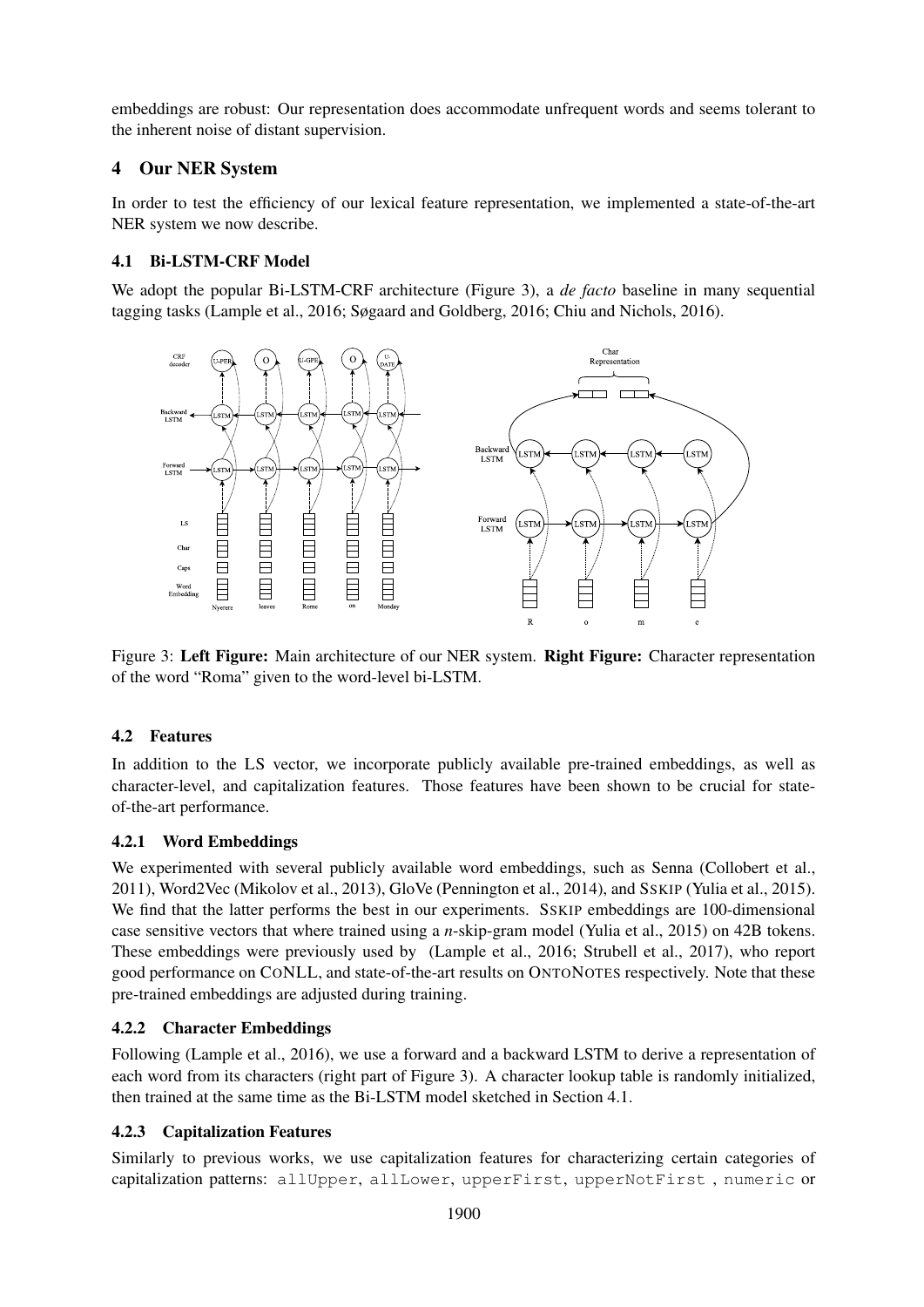embeddings are robust: Our representation does accommodate unfrequent words and seems tolerant to the inherent noise of distant supervision.

## 4 Our NER System

In order to test the efficiency of our lexical feature representation, we implemented a state-of-the-art NER system we now describe.

## 4.1 Bi-LSTM-CRF Model

We adopt the popular Bi-LSTM-CRF architecture (Figure 3), a *de facto* baseline in many sequential tagging tasks (Lample et al., 2016; Søgaard and Goldberg, 2016; Chiu and Nichols, 2016).



Figure 3: Left Figure: Main architecture of our NER system. Right Figure: Character representation of the word "Roma" given to the word-level bi-LSTM.

## 4.2 Features

In addition to the LS vector, we incorporate publicly available pre-trained embeddings, as well as character-level, and capitalization features. Those features have been shown to be crucial for stateof-the-art performance.

## 4.2.1 Word Embeddings

We experimented with several publicly available word embeddings, such as Senna (Collobert et al., 2011), Word2Vec (Mikolov et al., 2013), GloVe (Pennington et al., 2014), and SSKIP (Yulia et al., 2015). We find that the latter performs the best in our experiments. SSKIP embeddings are 100-dimensional case sensitive vectors that where trained using a *n*-skip-gram model (Yulia et al., 2015) on 42B tokens. These embeddings were previously used by (Lample et al., 2016; Strubell et al., 2017), who report good performance on CONLL, and state-of-the-art results on ONTONOTES respectively. Note that these pre-trained embeddings are adjusted during training.

## 4.2.2 Character Embeddings

Following (Lample et al., 2016), we use a forward and a backward LSTM to derive a representation of each word from its characters (right part of Figure 3). A character lookup table is randomly initialized, then trained at the same time as the Bi-LSTM model sketched in Section 4.1.

## 4.2.3 Capitalization Features

Similarly to previous works, we use capitalization features for characterizing certain categories of capitalization patterns: allUpper, allLower, upperFirst, upperNotFirst , numeric or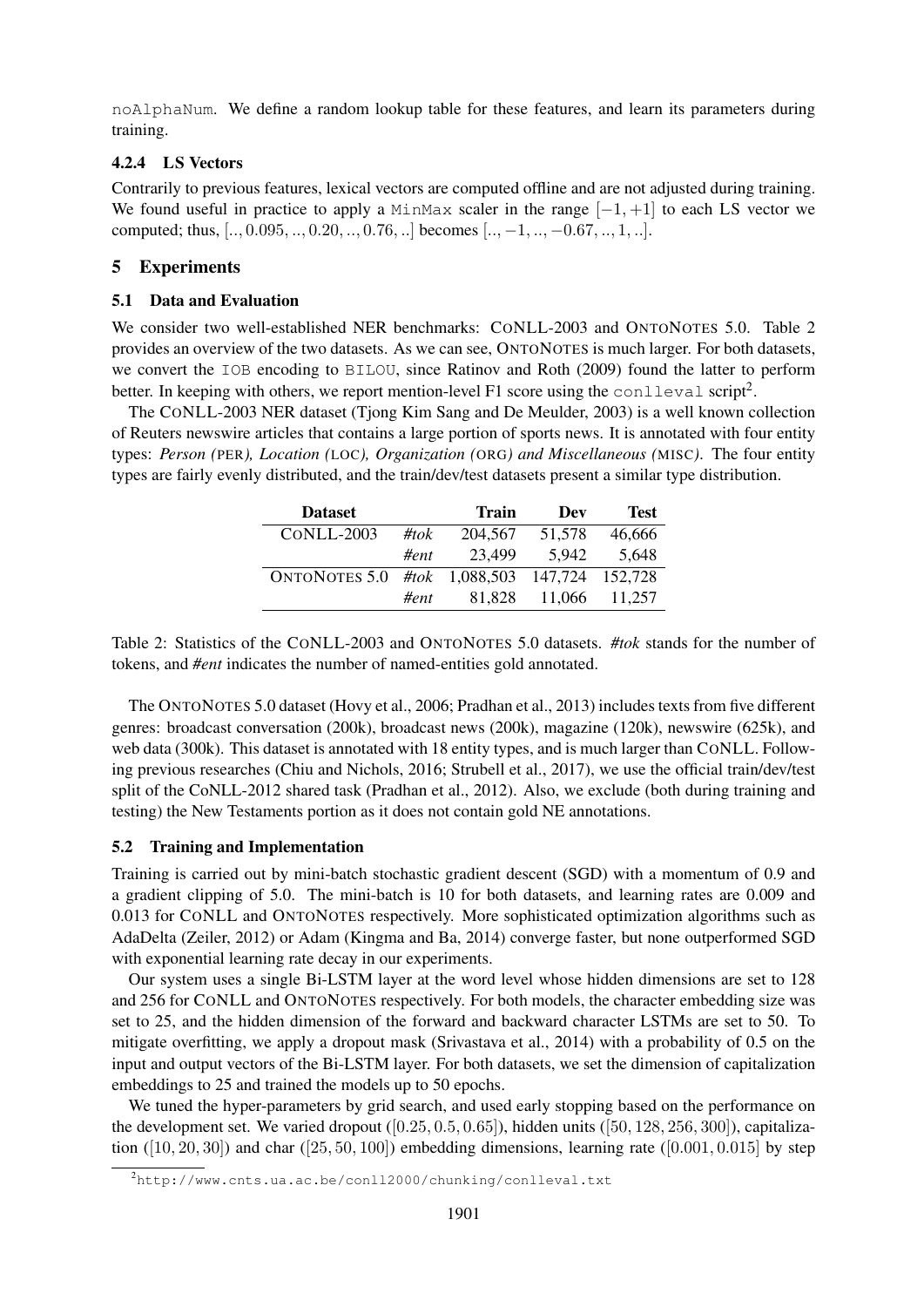noAlphaNum. We define a random lookup table for these features, and learn its parameters during training.

## 4.2.4 LS Vectors

Contrarily to previous features, lexical vectors are computed offline and are not adjusted during training. We found useful in practice to apply a MinMax scaler in the range  $[-1, +1]$  to each LS vector we computed; thus,  $[..., 0.095, ..., 0.20, ..., 0.76, ...]$  becomes  $[...,-1, ..., -0.67, ..., 1, ...]$ .

## 5 Experiments

### 5.1 Data and Evaluation

We consider two well-established NER benchmarks: CONLL-2003 and ONTONOTES 5.0. Table 2 provides an overview of the two datasets. As we can see, ONTONOTES is much larger. For both datasets, we convert the IOB encoding to BILOU, since Ratinov and Roth (2009) found the latter to perform better. In keeping with others, we report mention-level F1 score using the conlleval script<sup>2</sup>.

The CONLL-2003 NER dataset (Tjong Kim Sang and De Meulder, 2003) is a well known collection of Reuters newswire articles that contains a large portion of sports news. It is annotated with four entity types: *Person (*PER*), Location (*LOC*), Organization (*ORG*) and Miscellaneous (*MISC*)*. The four entity types are fairly evenly distributed, and the train/dev/test datasets present a similar type distribution.

| <b>Dataset</b>               |         | Train   | Dev             | <b>Test</b> |
|------------------------------|---------|---------|-----------------|-------------|
| $CONLL-2003$                 | #tok    | 204,567 | 51,578          | 46,666      |
|                              | # $ent$ | 23.499  | 5.942           | 5,648       |
| ONTONOTES 5.0 #tok 1,088,503 |         |         | 147,724 152,728 |             |
|                              | # $ent$ | 81.828  | 11,066          | 11,257      |

Table 2: Statistics of the CONLL-2003 and ONTONOTES 5.0 datasets. *#tok* stands for the number of tokens, and *#ent* indicates the number of named-entities gold annotated.

The ONTONOTES 5.0 dataset (Hovy et al., 2006; Pradhan et al., 2013) includes texts from five different genres: broadcast conversation (200k), broadcast news (200k), magazine (120k), newswire (625k), and web data (300k). This dataset is annotated with 18 entity types, and is much larger than CONLL. Following previous researches (Chiu and Nichols, 2016; Strubell et al., 2017), we use the official train/dev/test split of the CoNLL-2012 shared task (Pradhan et al., 2012). Also, we exclude (both during training and testing) the New Testaments portion as it does not contain gold NE annotations.

### 5.2 Training and Implementation

Training is carried out by mini-batch stochastic gradient descent (SGD) with a momentum of 0.9 and a gradient clipping of 5.0. The mini-batch is 10 for both datasets, and learning rates are 0.009 and 0.013 for CONLL and ONTONOTES respectively. More sophisticated optimization algorithms such as AdaDelta (Zeiler, 2012) or Adam (Kingma and Ba, 2014) converge faster, but none outperformed SGD with exponential learning rate decay in our experiments.

Our system uses a single Bi-LSTM layer at the word level whose hidden dimensions are set to 128 and 256 for CONLL and ONTONOTES respectively. For both models, the character embedding size was set to 25, and the hidden dimension of the forward and backward character LSTMs are set to 50. To mitigate overfitting, we apply a dropout mask (Srivastava et al., 2014) with a probability of 0.5 on the input and output vectors of the Bi-LSTM layer. For both datasets, we set the dimension of capitalization embeddings to 25 and trained the models up to 50 epochs.

We tuned the hyper-parameters by grid search, and used early stopping based on the performance on the development set. We varied dropout  $([0.25, 0.5, 0.65])$ , hidden units  $([50, 128, 256, 300])$ , capitalization  $([10, 20, 30])$  and char  $([25, 50, 100])$  embedding dimensions, learning rate  $([0.001, 0.015]$  by step

<sup>2</sup>http://www.cnts.ua.ac.be/conll2000/chunking/conlleval.txt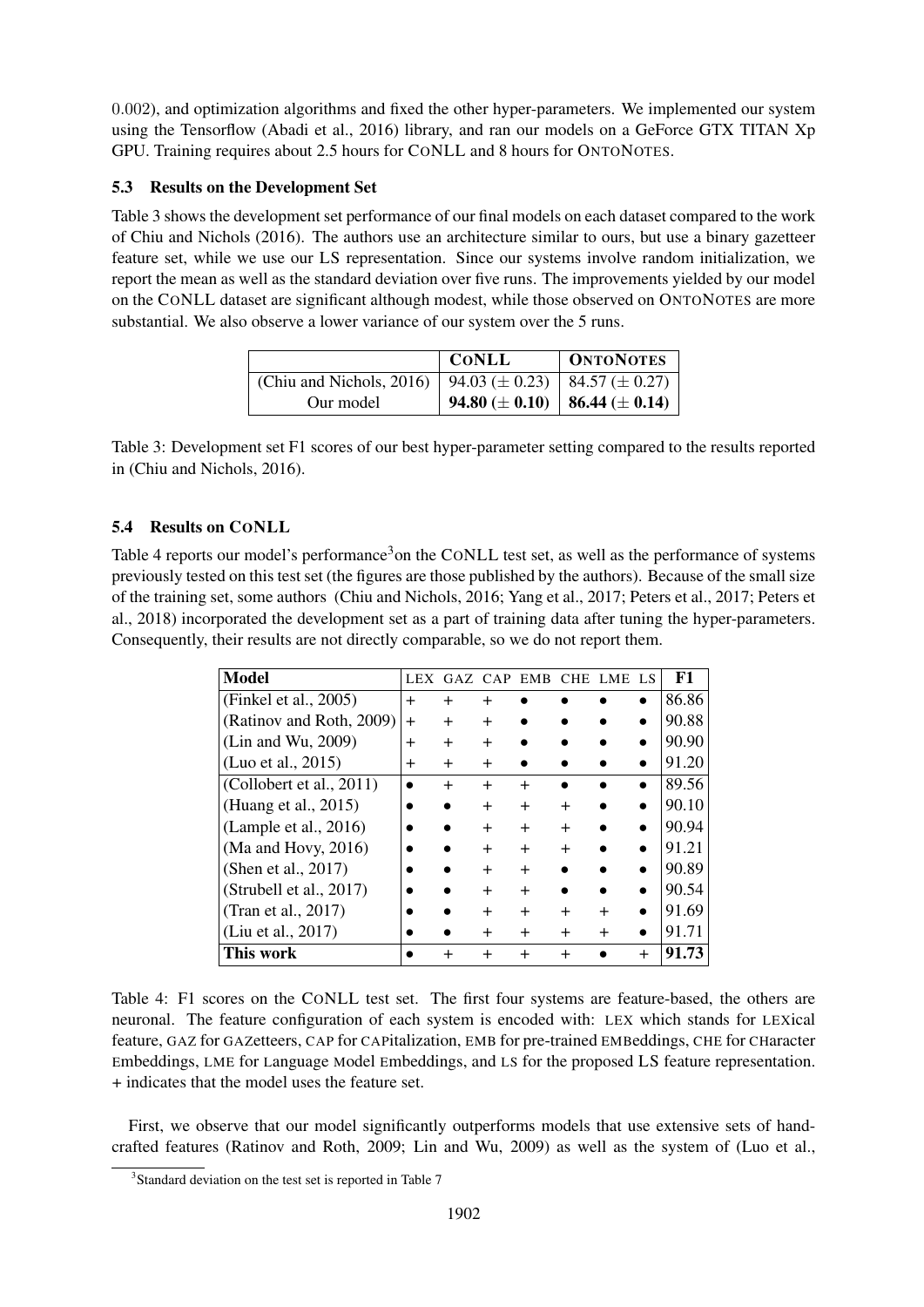0.002), and optimization algorithms and fixed the other hyper-parameters. We implemented our system using the Tensorflow (Abadi et al., 2016) library, and ran our models on a GeForce GTX TITAN Xp GPU. Training requires about 2.5 hours for CONLL and 8 hours for ONTONOTES.

## 5.3 Results on the Development Set

Table 3 shows the development set performance of our final models on each dataset compared to the work of Chiu and Nichols (2016). The authors use an architecture similar to ours, but use a binary gazetteer feature set, while we use our LS representation. Since our systems involve random initialization, we report the mean as well as the standard deviation over five runs. The improvements yielded by our model on the CONLL dataset are significant although modest, while those observed on ONTONOTES are more substantial. We also observe a lower variance of our system over the 5 runs.

|                          | <b>CONLL</b>                              | <b>ONTONOTES</b>                          |
|--------------------------|-------------------------------------------|-------------------------------------------|
| (Chiu and Nichols, 2016) | 94.03 ( $\pm$ 0.23)   84.57 ( $\pm$ 0.27) |                                           |
| Our model                |                                           | 94.80 ( $\pm$ 0.10)   86.44 ( $\pm$ 0.14) |

Table 3: Development set F1 scores of our best hyper-parameter setting compared to the results reported in (Chiu and Nichols, 2016).

## 5.4 Results on CONLL

Table 4 reports our model's performance<sup>3</sup>on the CONLL test set, as well as the performance of systems previously tested on this test set (the figures are those published by the authors). Because of the small size of the training set, some authors (Chiu and Nichols, 2016; Yang et al., 2017; Peters et al., 2017; Peters et al., 2018) incorporated the development set as a part of training data after tuning the hyper-parameters. Consequently, their results are not directly comparable, so we do not report them.

| <b>Model</b>             |           |           |        | LEX GAZ CAP EMB | <b>CHE</b> | LME. | F1    |
|--------------------------|-----------|-----------|--------|-----------------|------------|------|-------|
| (Finkel et al., $2005$ ) | $^{+}$    |           |        |                 |            |      | 86.86 |
| (Ratinov and Roth, 2009) | $\div$    | $\div$    | $\div$ |                 |            |      | 90.88 |
| (Lin and Wu, 2009)       | $\div$    | $\ddot{}$ | $\div$ |                 |            |      | 90.90 |
| (Luo et al., 2015)       | $\ddot{}$ | $\ddot{}$ | $\div$ |                 |            |      | 91.20 |
| (Collobert et al., 2011) |           | $\div$    | $^{+}$ | $\div$          |            |      | 89.56 |
| (Huang et al., 2015)     |           |           | $\div$ |                 |            |      | 90.10 |
| (Lample et al., $2016$ ) |           |           |        |                 |            |      | 90.94 |
| (Ma and Hovy, $2016$ )   |           |           | $\pm$  | $\div$          | $\ddot{}$  |      | 91.21 |
| (Shen et al., 2017)      |           |           | $\div$ |                 |            |      | 90.89 |
| (Strubell et al., 2017)  |           |           | $\div$ |                 |            |      | 90.54 |
| (Tran et al., 2017)      |           |           | $\div$ |                 |            |      | 91.69 |
| (Liu et al., 2017)       |           |           | $\div$ |                 |            |      | 91.71 |
| This work                |           |           |        |                 |            |      | 91.73 |

Table 4: F1 scores on the CONLL test set. The first four systems are feature-based, the others are neuronal. The feature configuration of each system is encoded with: LEX which stands for LEXical feature, GAZ for GAZetteers, CAP for CAPitalization, EMB for pre-trained EMBeddings, CHE for CHaracter Embeddings, LME for Language Model Embeddings, and LS for the proposed LS feature representation. + indicates that the model uses the feature set.

First, we observe that our model significantly outperforms models that use extensive sets of handcrafted features (Ratinov and Roth, 2009; Lin and Wu, 2009) as well as the system of (Luo et al.,

<sup>&</sup>lt;sup>3</sup>Standard deviation on the test set is reported in Table 7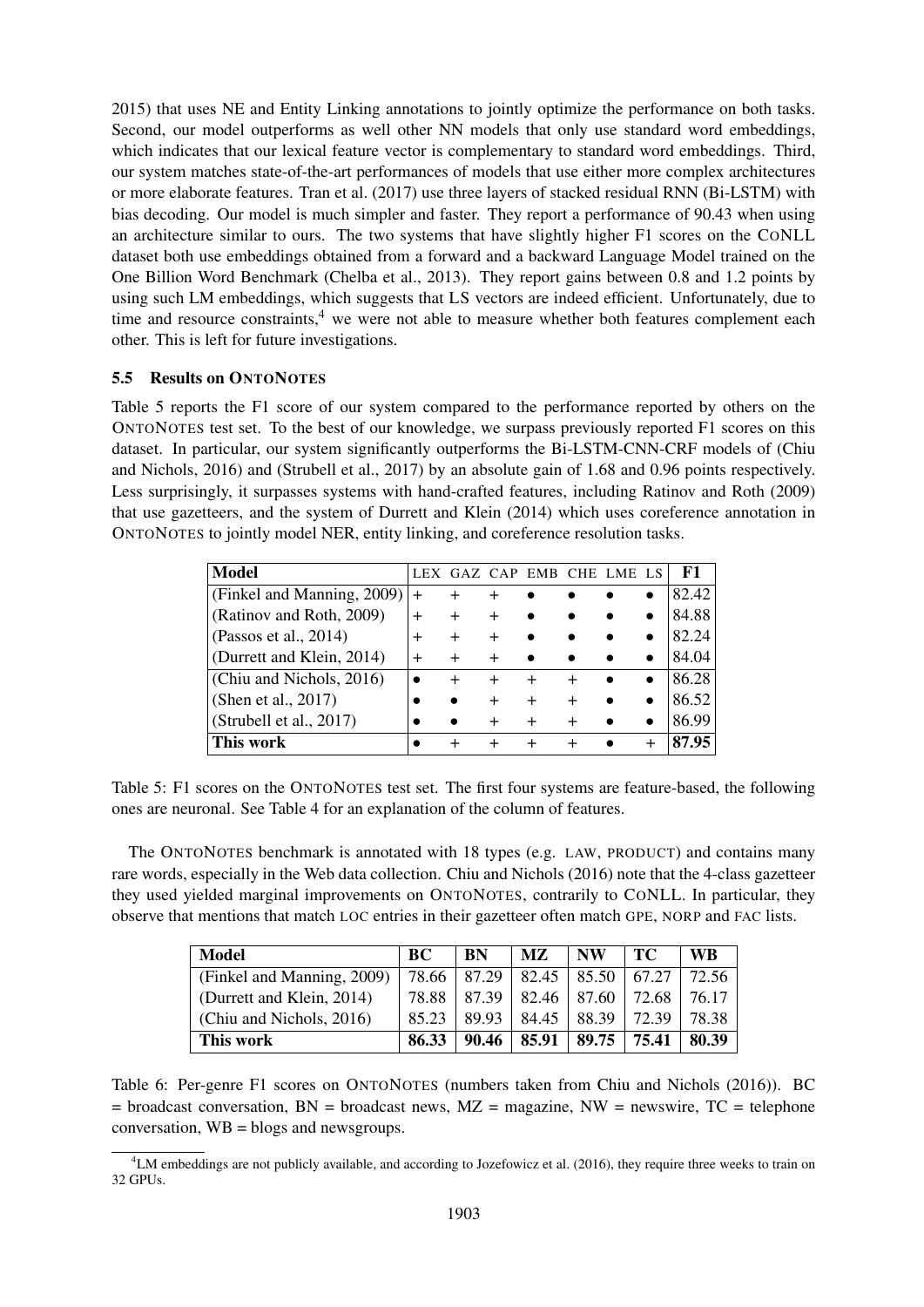2015) that uses NE and Entity Linking annotations to jointly optimize the performance on both tasks. Second, our model outperforms as well other NN models that only use standard word embeddings, which indicates that our lexical feature vector is complementary to standard word embeddings. Third, our system matches state-of-the-art performances of models that use either more complex architectures or more elaborate features. Tran et al. (2017) use three layers of stacked residual RNN (Bi-LSTM) with bias decoding. Our model is much simpler and faster. They report a performance of 90.43 when using an architecture similar to ours. The two systems that have slightly higher F1 scores on the CONLL dataset both use embeddings obtained from a forward and a backward Language Model trained on the One Billion Word Benchmark (Chelba et al., 2013). They report gains between 0.8 and 1.2 points by using such LM embeddings, which suggests that LS vectors are indeed efficient. Unfortunately, due to time and resource constraints, $4$  we were not able to measure whether both features complement each other. This is left for future investigations.

### 5.5 Results on ONTONOTES

Table 5 reports the F1 score of our system compared to the performance reported by others on the ONTONOTES test set. To the best of our knowledge, we surpass previously reported F1 scores on this dataset. In particular, our system significantly outperforms the Bi-LSTM-CNN-CRF models of (Chiu and Nichols, 2016) and (Strubell et al., 2017) by an absolute gain of 1.68 and 0.96 points respectively. Less surprisingly, it surpasses systems with hand-crafted features, including Ratinov and Roth (2009) that use gazetteers, and the system of Durrett and Klein (2014) which uses coreference annotation in ONTONOTES to jointly model NER, entity linking, and coreference resolution tasks.

| <b>Model</b>               |   |        | GAZ CAP EMB | CHE LME | - LS      | F1    |
|----------------------------|---|--------|-------------|---------|-----------|-------|
| (Finkel and Manning, 2009) |   |        |             |         |           | 82.42 |
| (Ratinov and Roth, 2009)   |   |        |             |         |           | 84.88 |
| (Passos et al., 2014)      | + | $\div$ |             |         |           | 82.24 |
| (Durrett and Klein, 2014)  |   |        |             |         |           | 84.04 |
| (Chiu and Nichols, 2016)   |   |        |             |         | $\bullet$ | 86.28 |
| (Shen et al., 2017)        |   |        |             |         |           | 86.52 |
| (Strubell et al., 2017)    |   |        |             |         |           | 86.99 |
| This work                  |   |        |             |         |           | 87.95 |

Table 5: F1 scores on the ONTONOTES test set. The first four systems are feature-based, the following ones are neuronal. See Table 4 for an explanation of the column of features.

The ONTONOTES benchmark is annotated with 18 types (e.g. LAW, PRODUCT) and contains many rare words, especially in the Web data collection. Chiu and Nichols (2016) note that the 4-class gazetteer they used yielded marginal improvements on ONTONOTES, contrarily to CONLL. In particular, they observe that mentions that match LOC entries in their gazetteer often match GPE, NORP and FAC lists.

| Model                      | BC    | <b>BN</b> | MZ.   | <b>NW</b> | TС    | WR    |
|----------------------------|-------|-----------|-------|-----------|-------|-------|
| (Finkel and Manning, 2009) | 78.66 | 87.29     | 82.45 | 85.50     | 67.27 | 72.56 |
| (Durrett and Klein, 2014)  | 78.88 | 87.39     | 82.46 | 87.60     | 72.68 | 76.17 |
| (Chiu and Nichols, 2016)   | 85 23 | 89.93     | 84.45 | 88.39     | 72.39 | 78.38 |
| This work                  | 86.33 | 90.46     | 85.91 | 89.75     | 75.41 | 80.39 |

Table 6: Per-genre F1 scores on ONTONOTES (numbers taken from Chiu and Nichols (2016)). BC  $=$  broadcast conversation, BN  $=$  broadcast news, MZ  $=$  magazine, NW  $=$  newswire, TC  $=$  telephone conversation, WB = blogs and newsgroups.

 $4LM$  embeddings are not publicly available, and according to Jozefowicz et al. (2016), they require three weeks to train on 32 GPUs.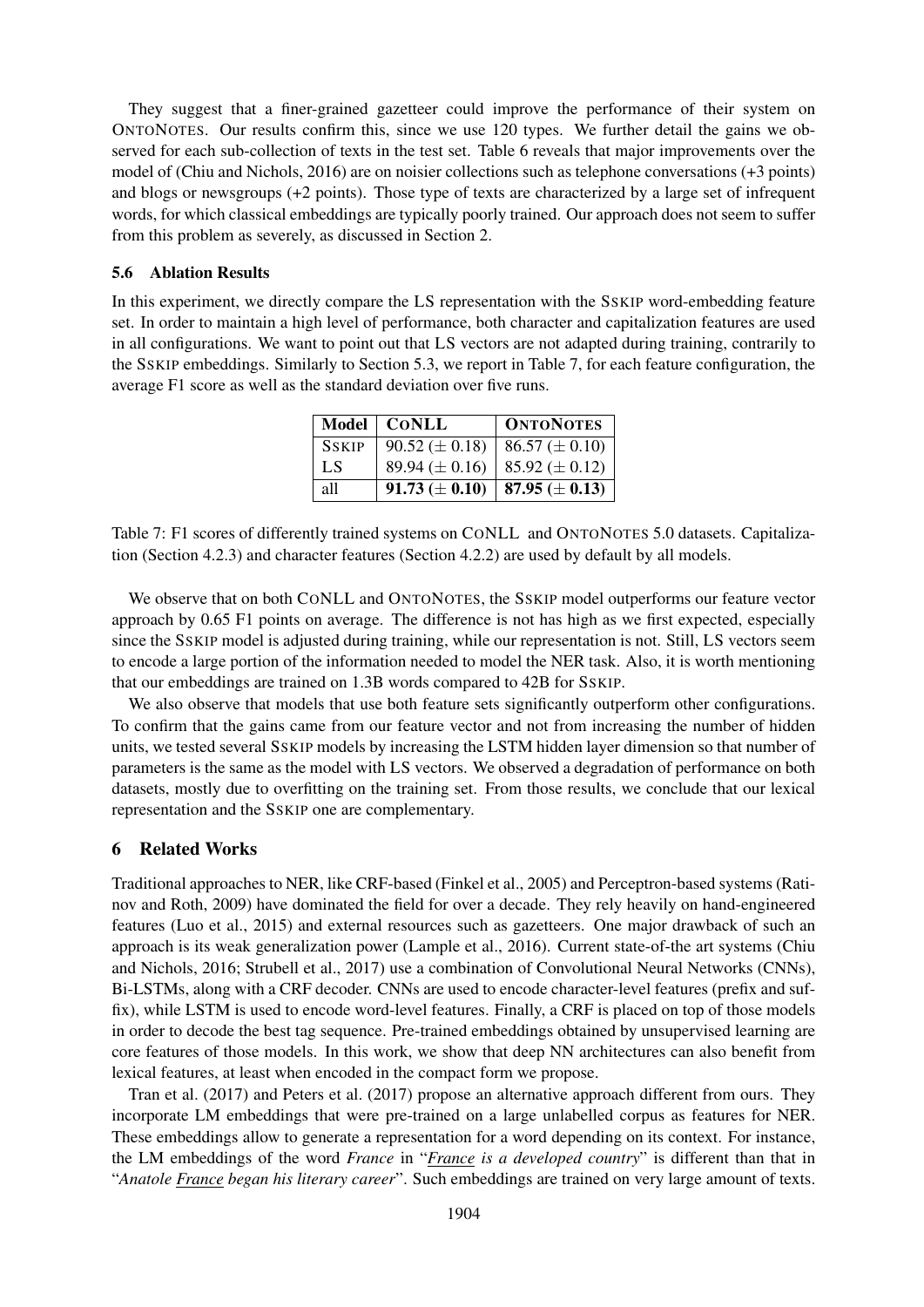They suggest that a finer-grained gazetteer could improve the performance of their system on ONTONOTES. Our results confirm this, since we use 120 types. We further detail the gains we observed for each sub-collection of texts in the test set. Table 6 reveals that major improvements over the model of (Chiu and Nichols, 2016) are on noisier collections such as telephone conversations (+3 points) and blogs or newsgroups (+2 points). Those type of texts are characterized by a large set of infrequent words, for which classical embeddings are typically poorly trained. Our approach does not seem to suffer from this problem as severely, as discussed in Section 2.

#### 5.6 Ablation Results

In this experiment, we directly compare the LS representation with the SSKIP word-embedding feature set. In order to maintain a high level of performance, both character and capitalization features are used in all configurations. We want to point out that LS vectors are not adapted during training, contrarily to the SSKIP embeddings. Similarly to Section 5.3, we report in Table 7, for each feature configuration, the average F1 score as well as the standard deviation over five runs.

|              | Model   CONLL                                          | <b>ONTONOTES</b>                          |
|--------------|--------------------------------------------------------|-------------------------------------------|
| <b>SSKIP</b> | $90.52 \pm 0.18$   86.57 ( $\pm$ 0.10)                 |                                           |
| LS.          |                                                        | 89.94 ( $\pm$ 0.16)   85.92 ( $\pm$ 0.12) |
| all          | $91.73 \left( \pm 0.10 \right)$   87.95 ( $\pm 0.13$ ) |                                           |

Table 7: F1 scores of differently trained systems on CONLL and ONTONOTES 5.0 datasets. Capitalization (Section 4.2.3) and character features (Section 4.2.2) are used by default by all models.

We observe that on both CONLL and ONTONOTES, the SSKIP model outperforms our feature vector approach by 0.65 F1 points on average. The difference is not has high as we first expected, especially since the SSKIP model is adjusted during training, while our representation is not. Still, LS vectors seem to encode a large portion of the information needed to model the NER task. Also, it is worth mentioning that our embeddings are trained on 1.3B words compared to 42B for SSKIP.

We also observe that models that use both feature sets significantly outperform other configurations. To confirm that the gains came from our feature vector and not from increasing the number of hidden units, we tested several SSKIP models by increasing the LSTM hidden layer dimension so that number of parameters is the same as the model with LS vectors. We observed a degradation of performance on both datasets, mostly due to overfitting on the training set. From those results, we conclude that our lexical representation and the SSKIP one are complementary.

#### 6 Related Works

Traditional approaches to NER, like CRF-based (Finkel et al., 2005) and Perceptron-based systems (Ratinov and Roth, 2009) have dominated the field for over a decade. They rely heavily on hand-engineered features (Luo et al., 2015) and external resources such as gazetteers. One major drawback of such an approach is its weak generalization power (Lample et al., 2016). Current state-of-the art systems (Chiu and Nichols, 2016; Strubell et al., 2017) use a combination of Convolutional Neural Networks (CNNs), Bi-LSTMs, along with a CRF decoder. CNNs are used to encode character-level features (prefix and suffix), while LSTM is used to encode word-level features. Finally, a CRF is placed on top of those models in order to decode the best tag sequence. Pre-trained embeddings obtained by unsupervised learning are core features of those models. In this work, we show that deep NN architectures can also benefit from lexical features, at least when encoded in the compact form we propose.

Tran et al. (2017) and Peters et al. (2017) propose an alternative approach different from ours. They incorporate LM embeddings that were pre-trained on a large unlabelled corpus as features for NER. These embeddings allow to generate a representation for a word depending on its context. For instance, the LM embeddings of the word *France* in "*France is a developed country*" is different than that in "*Anatole France began his literary career*". Such embeddings are trained on very large amount of texts.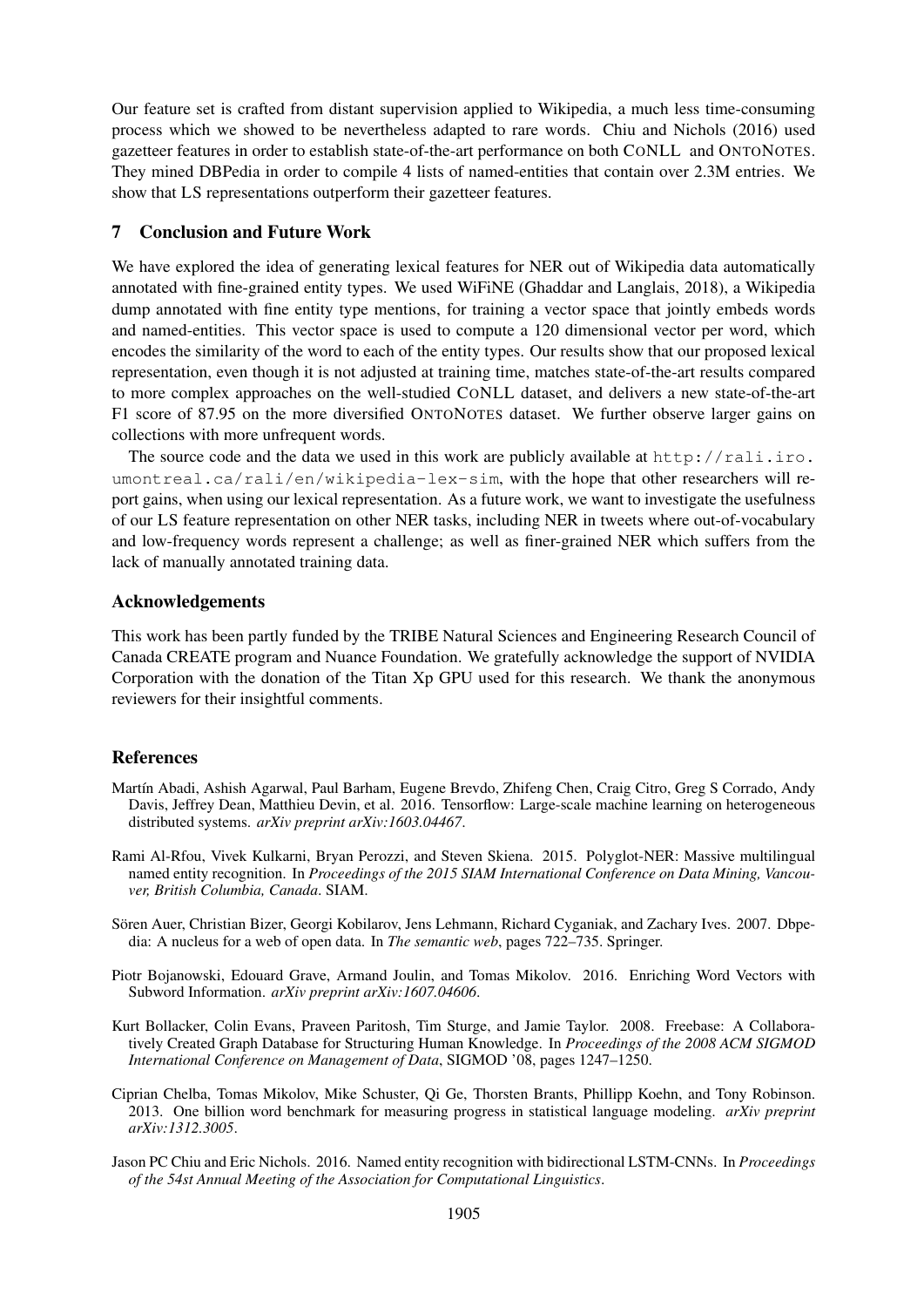Our feature set is crafted from distant supervision applied to Wikipedia, a much less time-consuming process which we showed to be nevertheless adapted to rare words. Chiu and Nichols (2016) used gazetteer features in order to establish state-of-the-art performance on both CONLL and ONTONOTES. They mined DBPedia in order to compile 4 lists of named-entities that contain over 2.3M entries. We show that LS representations outperform their gazetteer features.

#### 7 Conclusion and Future Work

We have explored the idea of generating lexical features for NER out of Wikipedia data automatically annotated with fine-grained entity types. We used WiFiNE (Ghaddar and Langlais, 2018), a Wikipedia dump annotated with fine entity type mentions, for training a vector space that jointly embeds words and named-entities. This vector space is used to compute a 120 dimensional vector per word, which encodes the similarity of the word to each of the entity types. Our results show that our proposed lexical representation, even though it is not adjusted at training time, matches state-of-the-art results compared to more complex approaches on the well-studied CONLL dataset, and delivers a new state-of-the-art F1 score of 87.95 on the more diversified ONTONOTES dataset. We further observe larger gains on collections with more unfrequent words.

The source code and the data we used in this work are publicly available at  $http://rali.iro.$ umontreal.ca/rali/en/wikipedia-lex-sim, with the hope that other researchers will report gains, when using our lexical representation. As a future work, we want to investigate the usefulness of our LS feature representation on other NER tasks, including NER in tweets where out-of-vocabulary and low-frequency words represent a challenge; as well as finer-grained NER which suffers from the lack of manually annotated training data.

### Acknowledgements

This work has been partly funded by the TRIBE Natural Sciences and Engineering Research Council of Canada CREATE program and Nuance Foundation. We gratefully acknowledge the support of NVIDIA Corporation with the donation of the Titan Xp GPU used for this research. We thank the anonymous reviewers for their insightful comments.

### **References**

- Martín Abadi, Ashish Agarwal, Paul Barham, Eugene Brevdo, Zhifeng Chen, Craig Citro, Greg S Corrado, Andy Davis, Jeffrey Dean, Matthieu Devin, et al. 2016. Tensorflow: Large-scale machine learning on heterogeneous distributed systems. *arXiv preprint arXiv:1603.04467*.
- Rami Al-Rfou, Vivek Kulkarni, Bryan Perozzi, and Steven Skiena. 2015. Polyglot-NER: Massive multilingual named entity recognition. In *Proceedings of the 2015 SIAM International Conference on Data Mining, Vancouver, British Columbia, Canada*. SIAM.
- Sören Auer, Christian Bizer, Georgi Kobilarov, Jens Lehmann, Richard Cyganiak, and Zachary Ives. 2007. Dbpedia: A nucleus for a web of open data. In *The semantic web*, pages 722–735. Springer.
- Piotr Bojanowski, Edouard Grave, Armand Joulin, and Tomas Mikolov. 2016. Enriching Word Vectors with Subword Information. *arXiv preprint arXiv:1607.04606*.
- Kurt Bollacker, Colin Evans, Praveen Paritosh, Tim Sturge, and Jamie Taylor. 2008. Freebase: A Collaboratively Created Graph Database for Structuring Human Knowledge. In *Proceedings of the 2008 ACM SIGMOD International Conference on Management of Data*, SIGMOD '08, pages 1247–1250.
- Ciprian Chelba, Tomas Mikolov, Mike Schuster, Qi Ge, Thorsten Brants, Phillipp Koehn, and Tony Robinson. 2013. One billion word benchmark for measuring progress in statistical language modeling. *arXiv preprint arXiv:1312.3005*.
- Jason PC Chiu and Eric Nichols. 2016. Named entity recognition with bidirectional LSTM-CNNs. In *Proceedings of the 54st Annual Meeting of the Association for Computational Linguistics*.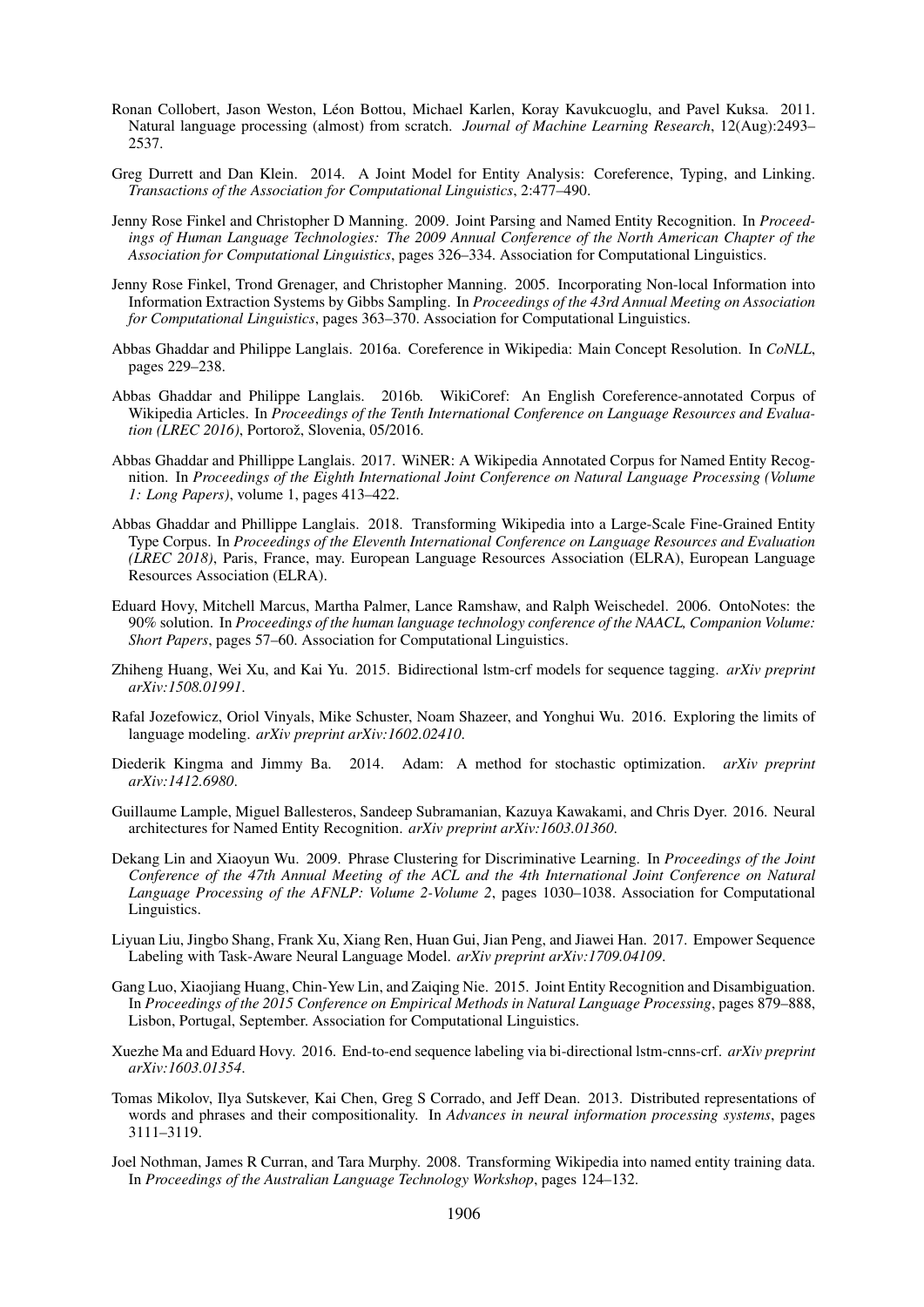- Ronan Collobert, Jason Weston, Leon Bottou, Michael Karlen, Koray Kavukcuoglu, and Pavel Kuksa. 2011. ´ Natural language processing (almost) from scratch. *Journal of Machine Learning Research*, 12(Aug):2493– 2537.
- Greg Durrett and Dan Klein. 2014. A Joint Model for Entity Analysis: Coreference, Typing, and Linking. *Transactions of the Association for Computational Linguistics*, 2:477–490.
- Jenny Rose Finkel and Christopher D Manning. 2009. Joint Parsing and Named Entity Recognition. In *Proceedings of Human Language Technologies: The 2009 Annual Conference of the North American Chapter of the Association for Computational Linguistics*, pages 326–334. Association for Computational Linguistics.
- Jenny Rose Finkel, Trond Grenager, and Christopher Manning. 2005. Incorporating Non-local Information into Information Extraction Systems by Gibbs Sampling. In *Proceedings of the 43rd Annual Meeting on Association for Computational Linguistics*, pages 363–370. Association for Computational Linguistics.
- Abbas Ghaddar and Philippe Langlais. 2016a. Coreference in Wikipedia: Main Concept Resolution. In *CoNLL*, pages 229–238.
- Abbas Ghaddar and Philippe Langlais. 2016b. WikiCoref: An English Coreference-annotated Corpus of Wikipedia Articles. In *Proceedings of the Tenth International Conference on Language Resources and Evaluation (LREC 2016)*, Portorož, Slovenia, 05/2016.
- Abbas Ghaddar and Phillippe Langlais. 2017. WiNER: A Wikipedia Annotated Corpus for Named Entity Recognition. In *Proceedings of the Eighth International Joint Conference on Natural Language Processing (Volume 1: Long Papers)*, volume 1, pages 413–422.
- Abbas Ghaddar and Phillippe Langlais. 2018. Transforming Wikipedia into a Large-Scale Fine-Grained Entity Type Corpus. In *Proceedings of the Eleventh International Conference on Language Resources and Evaluation (LREC 2018)*, Paris, France, may. European Language Resources Association (ELRA), European Language Resources Association (ELRA).
- Eduard Hovy, Mitchell Marcus, Martha Palmer, Lance Ramshaw, and Ralph Weischedel. 2006. OntoNotes: the 90% solution. In *Proceedings of the human language technology conference of the NAACL, Companion Volume: Short Papers*, pages 57–60. Association for Computational Linguistics.
- Zhiheng Huang, Wei Xu, and Kai Yu. 2015. Bidirectional lstm-crf models for sequence tagging. *arXiv preprint arXiv:1508.01991*.
- Rafal Jozefowicz, Oriol Vinyals, Mike Schuster, Noam Shazeer, and Yonghui Wu. 2016. Exploring the limits of language modeling. *arXiv preprint arXiv:1602.02410*.
- Diederik Kingma and Jimmy Ba. 2014. Adam: A method for stochastic optimization. *arXiv preprint arXiv:1412.6980*.
- Guillaume Lample, Miguel Ballesteros, Sandeep Subramanian, Kazuya Kawakami, and Chris Dyer. 2016. Neural architectures for Named Entity Recognition. *arXiv preprint arXiv:1603.01360*.
- Dekang Lin and Xiaoyun Wu. 2009. Phrase Clustering for Discriminative Learning. In *Proceedings of the Joint Conference of the 47th Annual Meeting of the ACL and the 4th International Joint Conference on Natural Language Processing of the AFNLP: Volume 2-Volume 2*, pages 1030–1038. Association for Computational Linguistics.
- Liyuan Liu, Jingbo Shang, Frank Xu, Xiang Ren, Huan Gui, Jian Peng, and Jiawei Han. 2017. Empower Sequence Labeling with Task-Aware Neural Language Model. *arXiv preprint arXiv:1709.04109*.
- Gang Luo, Xiaojiang Huang, Chin-Yew Lin, and Zaiqing Nie. 2015. Joint Entity Recognition and Disambiguation. In *Proceedings of the 2015 Conference on Empirical Methods in Natural Language Processing*, pages 879–888, Lisbon, Portugal, September. Association for Computational Linguistics.
- Xuezhe Ma and Eduard Hovy. 2016. End-to-end sequence labeling via bi-directional lstm-cnns-crf. *arXiv preprint arXiv:1603.01354*.
- Tomas Mikolov, Ilya Sutskever, Kai Chen, Greg S Corrado, and Jeff Dean. 2013. Distributed representations of words and phrases and their compositionality. In *Advances in neural information processing systems*, pages 3111–3119.
- Joel Nothman, James R Curran, and Tara Murphy. 2008. Transforming Wikipedia into named entity training data. In *Proceedings of the Australian Language Technology Workshop*, pages 124–132.